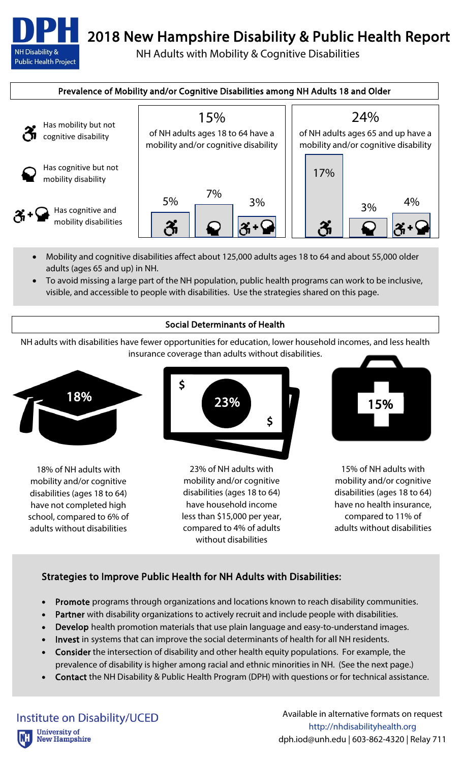**NH Disability & Public Health Project** 

## 2018 New Hampshire Disability & Public Health Report

NH Adults with Mobility & Cognitive Disabilities



- Mobility and cognitive disabilities affect about 125,000 adults ages 18 to 64 and about 55,000 older adults (ages 65 and up) in NH.
- To avoid missing a large part of the NH population, public health programs can work to be inclusive, visible, and accessible to people with disabilities. Use the strategies shared on this page.

## Social Determinants of Health

NH adults with disabilities have fewer opportunities for education, lower household incomes, and less health insurance coverage than adults without disabilities.



18% of NH adults with mobility and/or cognitive disabilities (ages 18 to 64) have not completed high school, compared to 6% of adults without disabilities



23% of NH adults with mobility and/or cognitive disabilities (ages 18 to 64) have household income less than \$15,000 per year, compared to 4% of adults without disabilities



15% of NH adults with mobility and/or cognitive disabilities (ages 18 to 64) have no health insurance, compared to 11% of adults without disabilities

## Strategies to Improve Public Health for NH Adults with Disabilities:

- Promote programs through organizations and locations known to reach disability communities.
- Partner with disability organizations to actively recruit and include people with disabilities.
- **Develop** health promotion materials that use plain language and easy-to-understand images.
- Invest in systems that can improve the social determinants of health for all NH residents.
- Consider the intersection of disability and other health equity populations. For example, the prevalence of disability is higher among racial and ethnic minorities in NH. (See the next page.)
- Contact the NH Disability & Public Health Program (DPH) with questions or for technical assistance.

Institute on Disability/UCED **University of New Hampshire**